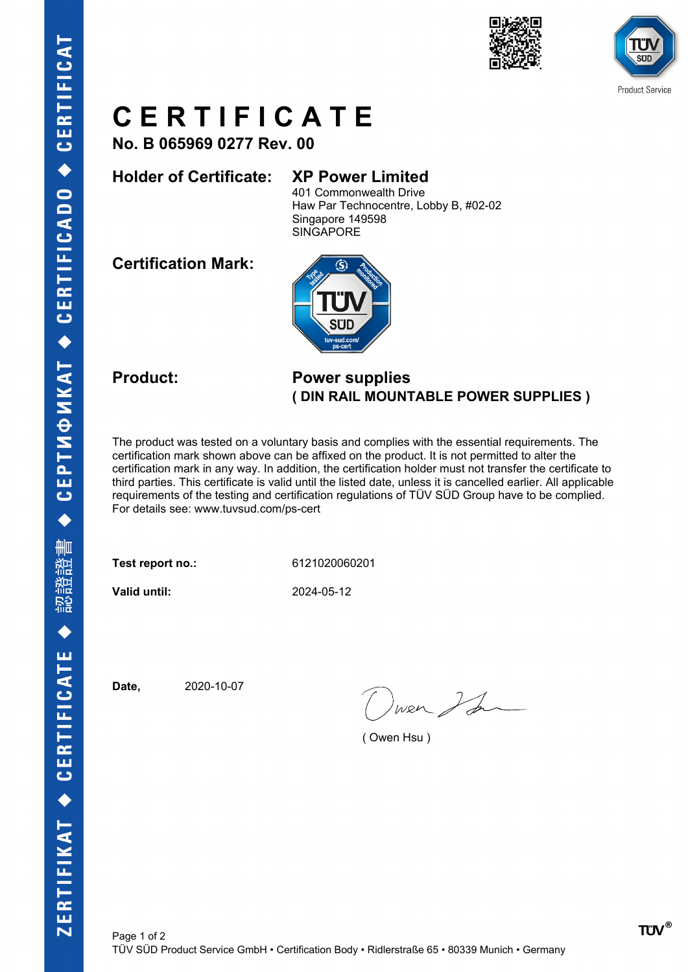



## **C E R T I F I C A T E**

**No. B 065969 0277 Rev. 00**

### **Holder of Certificate: XP Power Limited**

401 Commonwealth Drive Haw Par Technocentre, Lobby B, #02-02 Singapore 149598 **SINGAPORE** 

**Certification Mark:**



#### **Product: Power supplies ( DIN RAIL MOUNTABLE POWER SUPPLIES )**

The product was tested on a voluntary basis and complies with the essential requirements. The certification mark shown above can be affixed on the product. It is not permitted to alter the certification mark in any way. In addition, the certification holder must not transfer the certificate to third parties. This certificate is valid until the listed date, unless it is cancelled earlier. All applicable requirements of the testing and certification regulations of TÜV SÜD Group have to be complied. For details see: www.tuvsud.com/ps-cert

**Test report no.:** 6121020060201

**Valid until:** 2024-05-12

**Date,** 2020-10-07

wer I de

( Owen Hsu )